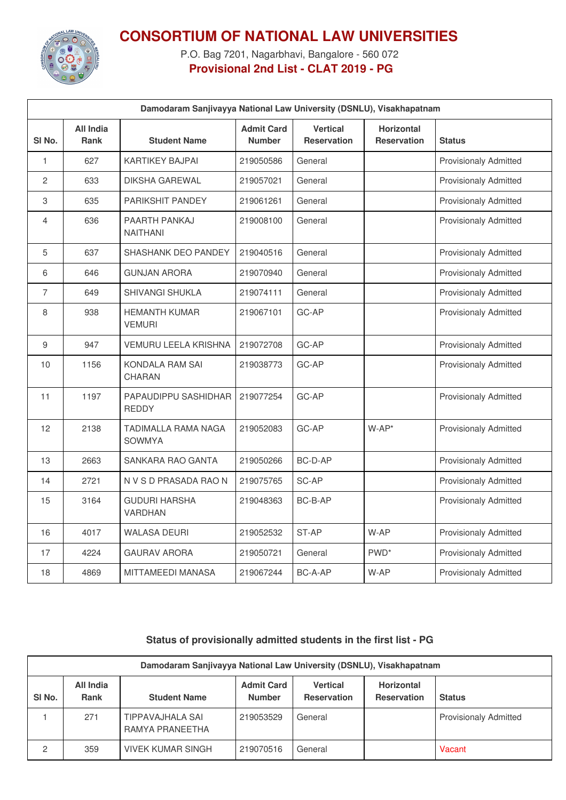

## **CONSORTIUM OF NATIONAL LAW UNIVERSITIES**

P.O. Bag 7201, Nagarbhavi, Bangalore - 560 072 **Provisional 2nd List - CLAT 2019 - PG**

| Damodaram Sanjivayya National Law University (DSNLU), Visakhapatnam |                                 |                                        |                                    |                                       |                                  |                              |  |
|---------------------------------------------------------------------|---------------------------------|----------------------------------------|------------------------------------|---------------------------------------|----------------------------------|------------------------------|--|
| SI <sub>No.</sub>                                                   | <b>All India</b><br><b>Rank</b> | <b>Student Name</b>                    | <b>Admit Card</b><br><b>Number</b> | <b>Vertical</b><br><b>Reservation</b> | Horizontal<br><b>Reservation</b> | <b>Status</b>                |  |
| 1                                                                   | 627                             | KARTIKEY BAJPAI                        | 219050586                          | General                               |                                  | <b>Provisionaly Admitted</b> |  |
| $\overline{c}$                                                      | 633                             | <b>DIKSHA GAREWAL</b>                  | 219057021                          | General                               |                                  | <b>Provisionaly Admitted</b> |  |
| 3                                                                   | 635                             | PARIKSHIT PANDEY                       | 219061261                          | General                               |                                  | <b>Provisionaly Admitted</b> |  |
| 4                                                                   | 636                             | PAARTH PANKAJ<br><b>NAITHANI</b>       | 219008100                          | General                               |                                  | <b>Provisionaly Admitted</b> |  |
| 5                                                                   | 637                             | SHASHANK DEO PANDEY                    | 219040516                          | General                               |                                  | <b>Provisionaly Admitted</b> |  |
| 6                                                                   | 646                             | <b>GUNJAN ARORA</b>                    | 219070940                          | General                               |                                  | <b>Provisionaly Admitted</b> |  |
| $\overline{7}$                                                      | 649                             | SHIVANGI SHUKLA                        | 219074111                          | General                               |                                  | <b>Provisionaly Admitted</b> |  |
| 8                                                                   | 938                             | <b>HEMANTH KUMAR</b><br><b>VEMURI</b>  | 219067101                          | GC-AP                                 |                                  | <b>Provisionaly Admitted</b> |  |
| 9                                                                   | 947                             | VEMURU LEELA KRISHNA                   | 219072708                          | GC-AP                                 |                                  | <b>Provisionaly Admitted</b> |  |
| 10                                                                  | 1156                            | KONDALA RAM SAI<br><b>CHARAN</b>       | 219038773                          | GC-AP                                 |                                  | <b>Provisionaly Admitted</b> |  |
| 11                                                                  | 1197                            | PAPAUDIPPU SASHIDHAR<br><b>REDDY</b>   | 219077254                          | GC-AP                                 |                                  | <b>Provisionaly Admitted</b> |  |
| 12                                                                  | 2138                            | TADIMALLA RAMA NAGA<br><b>SOWMYA</b>   | 219052083                          | GC-AP                                 | $W$ -AP*                         | <b>Provisionaly Admitted</b> |  |
| 13                                                                  | 2663                            | SANKARA RAO GANTA                      | 219050266                          | BC-D-AP                               |                                  | <b>Provisionaly Admitted</b> |  |
| 14                                                                  | 2721                            | N V S D PRASADA RAO N                  | 219075765                          | SC-AP                                 |                                  | <b>Provisionaly Admitted</b> |  |
| 15                                                                  | 3164                            | <b>GUDURI HARSHA</b><br><b>VARDHAN</b> | 219048363                          | BC-B-AP                               |                                  | <b>Provisionaly Admitted</b> |  |
| 16                                                                  | 4017                            | <b>WALASA DEURI</b>                    | 219052532                          | ST-AP                                 | W-AP                             | <b>Provisionaly Admitted</b> |  |
| 17                                                                  | 4224                            | <b>GAURAV ARORA</b>                    | 219050721                          | General                               | PWD <sup>*</sup>                 | <b>Provisionaly Admitted</b> |  |
| 18                                                                  | 4869                            | MITTAMEEDI MANASA                      | 219067244                          | BC-A-AP                               | W-AP                             | <b>Provisionaly Admitted</b> |  |

## **Status of provisionally admitted students in the first list - PG**

| Damodaram Sanjivayya National Law University (DSNLU), Visakhapatnam |                          |                                     |                                    |                                |                                  |                              |  |
|---------------------------------------------------------------------|--------------------------|-------------------------------------|------------------------------------|--------------------------------|----------------------------------|------------------------------|--|
| SI No.                                                              | All India<br><b>Rank</b> | <b>Student Name</b>                 | <b>Admit Card</b><br><b>Number</b> | Vertical<br><b>Reservation</b> | Horizontal<br><b>Reservation</b> | <b>Status</b>                |  |
|                                                                     | 271                      | TIPPAVAJHALA SAI<br>RAMYA PRANEETHA | 219053529                          | General                        |                                  | <b>Provisionaly Admitted</b> |  |
| 2                                                                   | 359                      | VIVEK KUMAR SINGH                   | 219070516                          | General                        |                                  | Vacant                       |  |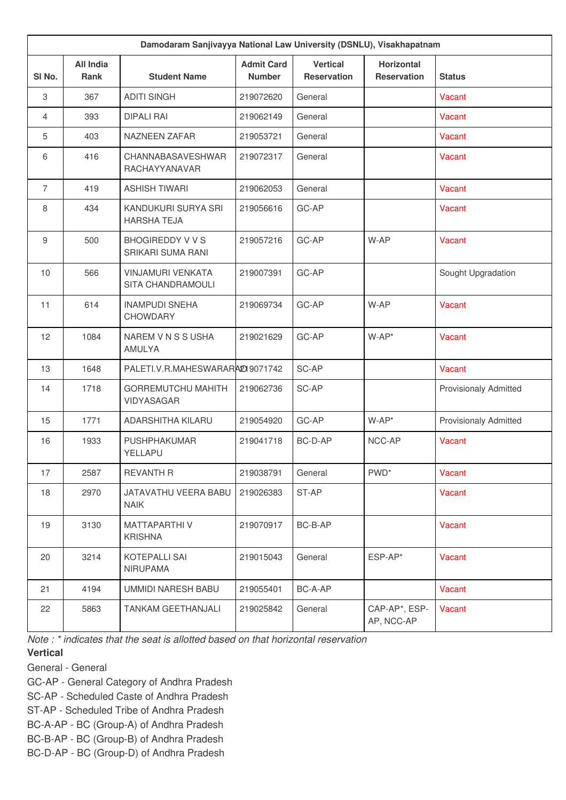| Damodaram Sanjivayya National Law University (DSNLU), Visakhapatnam |                          |                                                     |                                    |                                       |                                         |                              |  |
|---------------------------------------------------------------------|--------------------------|-----------------------------------------------------|------------------------------------|---------------------------------------|-----------------------------------------|------------------------------|--|
| SI No.                                                              | <b>All India</b><br>Rank | <b>Student Name</b>                                 | <b>Admit Card</b><br><b>Number</b> | <b>Vertical</b><br><b>Reservation</b> | <b>Horizontal</b><br><b>Reservation</b> | <b>Status</b>                |  |
| 3                                                                   | 367                      | <b>ADITI SINGH</b>                                  | 219072620                          | General                               |                                         | Vacant                       |  |
| $\overline{4}$                                                      | 393                      | <b>DIPALI RAI</b>                                   | 219062149                          | General                               |                                         | Vacant                       |  |
| 5                                                                   | 403                      | <b>NAZNEEN ZAFAR</b>                                | 219053721                          | General                               |                                         | Vacant                       |  |
| 6                                                                   | 416                      | CHANNABASAVESHWAR<br>RACHAYYANAVAR                  | 219072317                          | General                               |                                         | Vacant                       |  |
| $\overline{7}$                                                      | 419                      | <b>ASHISH TIWARI</b>                                | 219062053                          | General                               |                                         | Vacant                       |  |
| 8                                                                   | 434                      | KANDUKURI SURYA SRI<br><b>HARSHA TEJA</b>           | 219056616                          | GC-AP                                 |                                         | Vacant                       |  |
| 9                                                                   | 500                      | <b>BHOGIREDDY V V S</b><br><b>SRIKARI SUMA RANI</b> | 219057216                          | GC-AP                                 | W-AP                                    | Vacant                       |  |
| 10                                                                  | 566                      | <b>VINJAMURI VENKATA</b><br>SITA CHANDRAMOULI       | 219007391                          | GC-AP                                 |                                         | Sought Upgradation           |  |
| 11                                                                  | 614                      | <b>INAMPUDI SNEHA</b><br><b>CHOWDARY</b>            | 219069734                          | GC-AP                                 | W-AP                                    | Vacant                       |  |
| 12                                                                  | 1084                     | NAREM V N S S USHA<br>AMULYA                        | 219021629                          | GC-AP                                 | $W-AP^*$                                | Vacant                       |  |
| 13                                                                  | 1648                     | PALETI.V.R.MAHESWARARA2019071742                    |                                    | SC-AP                                 |                                         | Vacant                       |  |
| 14                                                                  | 1718                     | <b>GORREMUTCHU MAHITH</b><br><b>VIDYASAGAR</b>      | 219062736                          | SC-AP                                 |                                         | <b>Provisionaly Admitted</b> |  |
| 15                                                                  | 1771                     | ADARSHITHA KILARU                                   | 219054920                          | GC-AP                                 | $W$ -AP*                                | <b>Provisionaly Admitted</b> |  |
| 16                                                                  | 1933                     | <b>PUSHPHAKUMAR</b><br>YELLAPU                      | 219041718                          | BC-D-AP                               | NCC-AP                                  | Vacant                       |  |
| 17                                                                  | 2587                     | <b>REVANTH R</b>                                    | 219038791                          | General                               | PWD <sup>*</sup>                        | Vacant                       |  |
| 18                                                                  | 2970                     | JATAVATHU VEERA BABU<br><b>NAIK</b>                 | 219026383                          | ST-AP                                 |                                         | Vacant                       |  |
| 19                                                                  | 3130                     | MATTAPARTHI V<br><b>KRISHNA</b>                     | 219070917                          | BC-B-AP                               |                                         | Vacant                       |  |
| 20                                                                  | 3214                     | KOTEPALLI SAI<br><b>NIRUPAMA</b>                    | 219015043                          | General                               | ESP-AP*                                 | Vacant                       |  |
| 21                                                                  | 4194                     | UMMIDI NARESH BABU                                  | 219055401                          | BC-A-AP                               |                                         | Vacant                       |  |
| 22                                                                  | 5863                     | TANKAM GEETHANJALI                                  | 219025842                          | General                               | CAP-AP*, ESP-<br>AP, NCC-AP             | Vacant                       |  |

*Note : \* indicates that the seat is allotted based on that horizontal reservation*

## **Vertical**

General - General

GC-AP - General Category of Andhra Pradesh

SC-AP - Scheduled Caste of Andhra Pradesh

ST-AP - Scheduled Tribe of Andhra Pradesh

BC-A-AP - BC (Group-A) of Andhra Pradesh

BC-B-AP - BC (Group-B) of Andhra Pradesh

BC-D-AP - BC (Group-D) of Andhra Pradesh